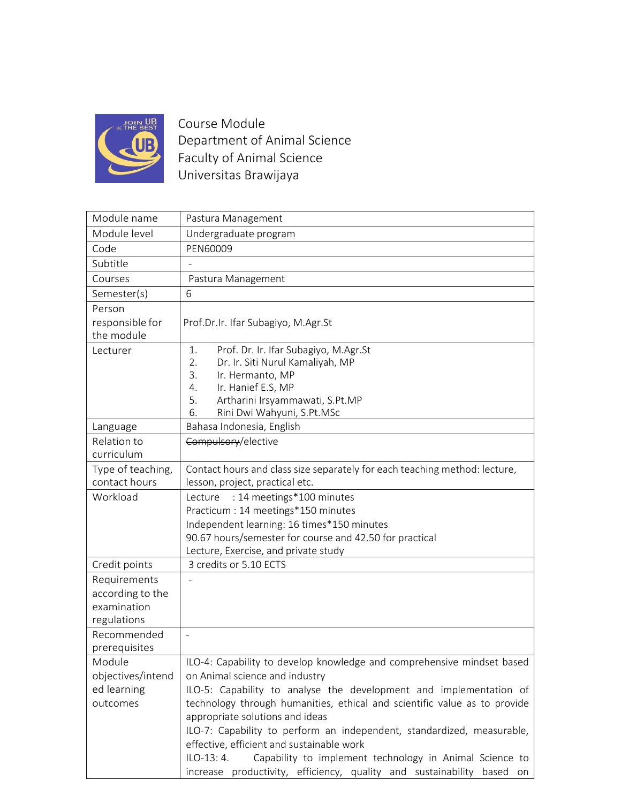

Course Module Department of Animal Science Faculty of Animal Science Universitas Brawijaya

| Module name                  | Pastura Management                                                         |
|------------------------------|----------------------------------------------------------------------------|
| Module level                 | Undergraduate program                                                      |
| Code                         | PEN60009                                                                   |
| Subtitle                     |                                                                            |
| Courses                      | Pastura Management                                                         |
| Semester(s)                  | 6                                                                          |
| Person                       |                                                                            |
| responsible for              | Prof.Dr.Ir. Ifar Subagiyo, M.Agr.St                                        |
| the module                   |                                                                            |
| Lecturer                     | Prof. Dr. Ir. Ifar Subagiyo, M.Agr.St<br>1.                                |
|                              | 2.<br>Dr. Ir. Siti Nurul Kamaliyah, MP                                     |
|                              | 3.<br>Ir. Hermanto, MP<br>Ir. Hanief E.S, MP<br>4.                         |
|                              | Artharini Irsyammawati, S.Pt.MP<br>5.                                      |
|                              | Rini Dwi Wahyuni, S.Pt.MSc<br>6.                                           |
| Language                     | Bahasa Indonesia, English                                                  |
| Relation to                  | Compulsory/elective                                                        |
| curriculum                   |                                                                            |
| Type of teaching,            | Contact hours and class size separately for each teaching method: lecture, |
| contact hours                | lesson, project, practical etc.                                            |
| Workload                     | : 14 meetings*100 minutes<br>Lecture                                       |
|                              | Practicum : 14 meetings*150 minutes                                        |
|                              | Independent learning: 16 times*150 minutes                                 |
|                              | 90.67 hours/semester for course and 42.50 for practical                    |
|                              | Lecture, Exercise, and private study                                       |
| Credit points                | 3 credits or 5.10 ECTS                                                     |
| Requirements                 |                                                                            |
| according to the             |                                                                            |
| examination                  |                                                                            |
| regulations                  |                                                                            |
| Recommended<br>prerequisites |                                                                            |
| Module                       | ILO-4: Capability to develop knowledge and comprehensive mindset based     |
| objectives/intend            | on Animal science and industry                                             |
| ed learning                  | ILO-5: Capability to analyse the development and implementation of         |
| outcomes                     | technology through humanities, ethical and scientific value as to provide  |
|                              | appropriate solutions and ideas                                            |
|                              | ILO-7: Capability to perform an independent, standardized, measurable,     |
|                              | effective, efficient and sustainable work                                  |
|                              | ILO-13: 4.<br>Capability to implement technology in Animal Science to      |
|                              | increase productivity, efficiency, quality and sustainability based on     |